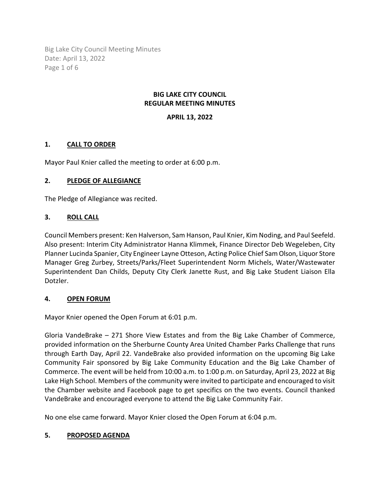Big Lake City Council Meeting Minutes Date: April 13, 2022 Page 1 of 6

#### **BIG LAKE CITY COUNCIL REGULAR MEETING MINUTES**

### **APRIL 13, 2022**

### **1. CALL TO ORDER**

Mayor Paul Knier called the meeting to order at 6:00 p.m.

### **2. PLEDGE OF ALLEGIANCE**

The Pledge of Allegiance was recited.

# **3. ROLL CALL**

Council Members present: Ken Halverson, Sam Hanson, Paul Knier, Kim Noding, and Paul Seefeld. Also present: Interim City Administrator Hanna Klimmek, Finance Director Deb Wegeleben, City Planner Lucinda Spanier, City Engineer Layne Otteson, Acting Police Chief Sam Olson, Liquor Store Manager Greg Zurbey, Streets/Parks/Fleet Superintendent Norm Michels, Water/Wastewater Superintendent Dan Childs, Deputy City Clerk Janette Rust, and Big Lake Student Liaison Ella Dotzler.

### **4. OPEN FORUM**

Mayor Knier opened the Open Forum at 6:01 p.m.

Gloria VandeBrake – 271 Shore View Estates and from the Big Lake Chamber of Commerce, provided information on the Sherburne County Area United Chamber Parks Challenge that runs through Earth Day, April 22. VandeBrake also provided information on the upcoming Big Lake Community Fair sponsored by Big Lake Community Education and the Big Lake Chamber of Commerce. The event will be held from 10:00 a.m. to 1:00 p.m. on Saturday, April 23, 2022 at Big Lake High School. Members of the community were invited to participate and encouraged to visit the Chamber website and Facebook page to get specifics on the two events. Council thanked VandeBrake and encouraged everyone to attend the Big Lake Community Fair.

No one else came forward. Mayor Knier closed the Open Forum at 6:04 p.m.

### **5. PROPOSED AGENDA**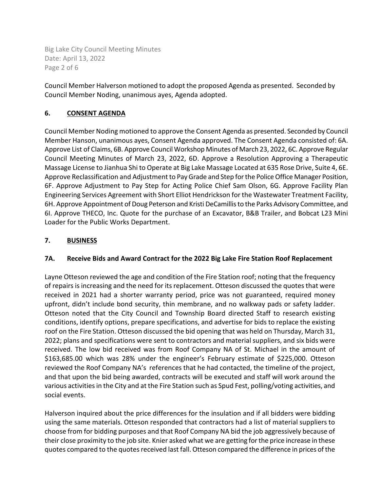Big Lake City Council Meeting Minutes Date: April 13, 2022 Page 2 of 6

Council Member Halverson motioned to adopt the proposed Agenda as presented. Seconded by Council Member Noding, unanimous ayes, Agenda adopted.

# **6. CONSENT AGENDA**

Council Member Noding motioned to approve the Consent Agenda as presented. Seconded by Council Member Hanson, unanimous ayes, Consent Agenda approved. The Consent Agenda consisted of: 6A. Approve List of Claims, 6B. Approve Council Workshop Minutes of March 23, 2022, 6C. Approve Regular Council Meeting Minutes of March 23, 2022, 6D. Approve a Resolution Approving a Therapeutic Massage License to Jianhua Shi to Operate at Big Lake Massage Located at 635 Rose Drive, Suite 4, 6E. Approve Reclassification and Adjustment to Pay Grade and Step for the Police Office Manager Position, 6F. Approve Adjustment to Pay Step for Acting Police Chief Sam Olson, 6G. Approve Facility Plan Engineering Services Agreement with Short Elliot Hendrickson for the Wastewater Treatment Facility, 6H. Approve Appointment of Doug Peterson and Kristi DeCamillis to the Parks Advisory Committee, and 6I. Approve THECO, Inc. Quote for the purchase of an Excavator, B&B Trailer, and Bobcat L23 Mini Loader for the Public Works Department.

# **7. BUSINESS**

### **7A. Receive Bids and Award Contract for the 2022 Big Lake Fire Station Roof Replacement**

Layne Otteson reviewed the age and condition of the Fire Station roof; noting that the frequency of repairs is increasing and the need for its replacement. Otteson discussed the quotes that were received in 2021 had a shorter warranty period, price was not guaranteed, required money upfront, didn't include bond security, thin membrane, and no walkway pads or safety ladder. Otteson noted that the City Council and Township Board directed Staff to research existing conditions, identify options, prepare specifications, and advertise for bids to replace the existing roof on the Fire Station. Otteson discussed the bid opening that was held on Thursday, March 31, 2022; plans and specifications were sent to contractors and material suppliers, and six bids were received. The low bid received was from Roof Company NA of St. Michael in the amount of \$163,685.00 which was 28% under the engineer's February estimate of \$225,000. Otteson reviewed the Roof Company NA's references that he had contacted, the timeline of the project, and that upon the bid being awarded, contracts will be executed and staff will work around the various activities in the City and at the Fire Station such as Spud Fest, polling/voting activities, and social events.

Halverson inquired about the price differences for the insulation and if all bidders were bidding using the same materials. Otteson responded that contractors had a list of material suppliers to choose from for bidding purposes and that Roof Company NA bid the job aggressively because of their close proximity to the job site. Knier asked what we are getting for the price increase in these quotes compared to the quotes received last fall. Otteson compared the difference in prices of the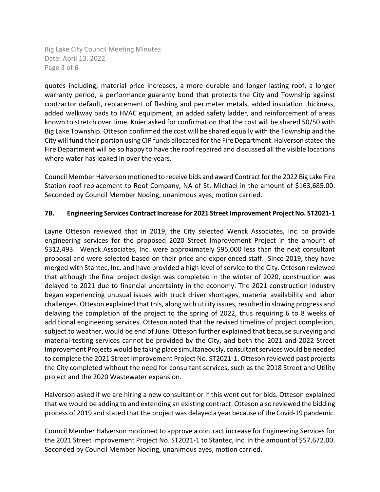Big Lake City Council Meeting Minutes Date: April 13, 2022 Page 3 of 6

quotes including; material price increases, a more durable and longer lasting roof, a longer warranty period, a performance guaranty bond that protects the City and Township against contractor default, replacement of flashing and perimeter metals, added insulation thickness, added walkway pads to HVAC equipment, an added safety ladder, and reinforcement of areas known to stretch over time. Knier asked for confirmation that the cost will be shared 50/50 with Big Lake Township. Otteson confirmed the cost will be shared equally with the Township and the City will fund their portion using CIP funds allocated for the Fire Department. Halverson stated the Fire Department will be so happy to have the roof repaired and discussed all the visible locations where water has leaked in over the years.

Council Member Halverson motioned to receive bids and award Contract for the 2022 Big Lake Fire Station roof replacement to Roof Company, NA of St. Michael in the amount of \$163,685.00. Seconded by Council Member Noding, unanimous ayes, motion carried.

#### **7B. Engineering Services Contract Increase for 2021 Street Improvement Project No. ST2021-1**

Layne Otteson reviewed that in 2019, the City selected Wenck Associates, Inc. to provide engineering services for the proposed 2020 Street Improvement Project in the amount of \$312,493. Wenck Associates, Inc. were approximately \$95,000 less than the next consultant proposal and were selected based on their price and experienced staff. Since 2019, they have merged with Stantec, Inc. and have provided a high level of service to the City. Otteson reviewed that although the final project design was completed in the winter of 2020, construction was delayed to 2021 due to financial uncertainty in the economy. The 2021 construction industry began experiencing unusual issues with truck driver shortages, material availability and labor challenges. Otteson explained that this, along with utility issues, resulted in slowing progress and delaying the completion of the project to the spring of 2022, thus requiring 6 to 8 weeks of additional engineering services. Otteson noted that the revised timeline of project completion, subject to weather, would be end of June. Otteson further explained that because surveying and material-testing services cannot be provided by the City, and both the 2021 and 2022 Street Improvement Projects would be taking place simultaneously, consultant services would be needed to complete the 2021 Street Improvement Project No. ST2021-1. Otteson reviewed past projects the City completed without the need for consultant services, such as the 2018 Street and Utility project and the 2020 Wastewater expansion.

Halverson asked if we are hiring a new consultant or if this went out for bids. Otteson explained that we would be adding to and extending an existing contract. Otteson also reviewed the bidding process of 2019 and stated that the project was delayed a year because of the Covid-19 pandemic.

Council Member Halverson motioned to approve a contract increase for Engineering Services for the 2021 Street Improvement Project No. ST2021-1 to Stantec, Inc. in the amount of \$57,672.00. Seconded by Council Member Noding, unanimous ayes, motion carried.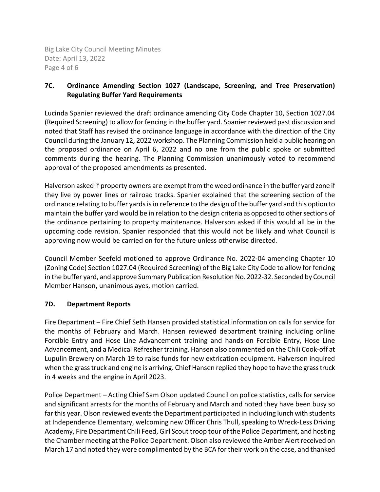Big Lake City Council Meeting Minutes Date: April 13, 2022 Page 4 of 6

# **7C. Ordinance Amending Section 1027 (Landscape, Screening, and Tree Preservation) Regulating Buffer Yard Requirements**

Lucinda Spanier reviewed the draft ordinance amending City Code Chapter 10, Section 1027.04 (Required Screening) to allow for fencing in the buffer yard. Spanier reviewed past discussion and noted that Staff has revised the ordinance language in accordance with the direction of the City Council during the January 12, 2022 workshop. The Planning Commission held a public hearing on the proposed ordinance on April 6, 2022 and no one from the public spoke or submitted comments during the hearing. The Planning Commission unanimously voted to recommend approval of the proposed amendments as presented.

Halverson asked if property owners are exempt from the weed ordinance in the buffer yard zone if they live by power lines or railroad tracks. Spanier explained that the screening section of the ordinance relating to buffer yards is in reference to the design of the buffer yard and this option to maintain the buffer yard would be in relation to the design criteria as opposed to other sections of the ordinance pertaining to property maintenance. Halverson asked if this would all be in the upcoming code revision. Spanier responded that this would not be likely and what Council is approving now would be carried on for the future unless otherwise directed.

Council Member Seefeld motioned to approve Ordinance No. 2022-04 amending Chapter 10 (Zoning Code) Section 1027.04 (Required Screening) of the Big Lake City Code to allow for fencing in the buffer yard, and approve Summary Publication Resolution No. 2022-32. Seconded by Council Member Hanson, unanimous ayes, motion carried.

### **7D. Department Reports**

Fire Department – Fire Chief Seth Hansen provided statistical information on calls for service for the months of February and March. Hansen reviewed department training including online Forcible Entry and Hose Line Advancement training and hands-on Forcible Entry, Hose Line Advancement, and a Medical Refresher training. Hansen also commented on the Chili Cook-off at Lupulin Brewery on March 19 to raise funds for new extrication equipment. Halverson inquired when the grass truck and engine is arriving. Chief Hansen replied they hope to have the grass truck in 4 weeks and the engine in April 2023.

Police Department – Acting Chief Sam Olson updated Council on police statistics, calls for service and significant arrests for the months of February and March and noted they have been busy so far this year. Olson reviewed events the Department participated in including lunch with students at Independence Elementary, welcoming new Officer Chris Thull, speaking to Wreck-Less Driving Academy, Fire Department Chili Feed, Girl Scout troop tour of the Police Department, and hosting the Chamber meeting at the Police Department. Olson also reviewed the Amber Alert received on March 17 and noted they were complimented by the BCA for their work on the case, and thanked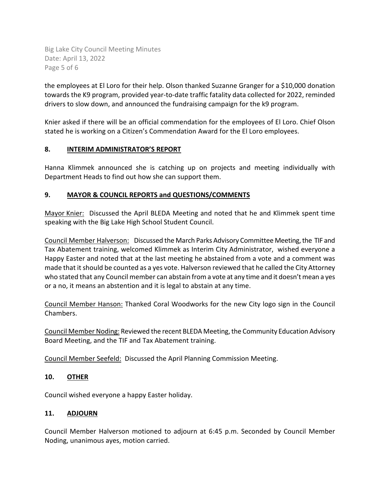Big Lake City Council Meeting Minutes Date: April 13, 2022 Page 5 of 6

the employees at El Loro for their help. Olson thanked Suzanne Granger for a \$10,000 donation towards the K9 program, provided year-to-date traffic fatality data collected for 2022, reminded drivers to slow down, and announced the fundraising campaign for the k9 program.

Knier asked if there will be an official commendation for the employees of El Loro. Chief Olson stated he is working on a Citizen's Commendation Award for the El Loro employees.

### **8. INTERIM ADMINISTRATOR'S REPORT**

Hanna Klimmek announced she is catching up on projects and meeting individually with Department Heads to find out how she can support them.

# **9. MAYOR & COUNCIL REPORTS and QUESTIONS/COMMENTS**

Mayor Knier: Discussed the April BLEDA Meeting and noted that he and Klimmek spent time speaking with the Big Lake High School Student Council.

Council Member Halverson: Discussed the March Parks Advisory Committee Meeting, the TIF and Tax Abatement training, welcomed Klimmek as Interim City Administrator, wished everyone a Happy Easter and noted that at the last meeting he abstained from a vote and a comment was made that it should be counted as a yes vote. Halverson reviewed that he called the City Attorney who stated that any Council member can abstain from a vote at any time and it doesn't mean a yes or a no, it means an abstention and it is legal to abstain at any time.

Council Member Hanson: Thanked Coral Woodworks for the new City logo sign in the Council Chambers.

Council Member Noding: Reviewed the recent BLEDA Meeting, the Community Education Advisory Board Meeting, and the TIF and Tax Abatement training.

Council Member Seefeld: Discussed the April Planning Commission Meeting.

### **10. OTHER**

Council wished everyone a happy Easter holiday.

### **11. ADJOURN**

Council Member Halverson motioned to adjourn at 6:45 p.m. Seconded by Council Member Noding, unanimous ayes, motion carried.